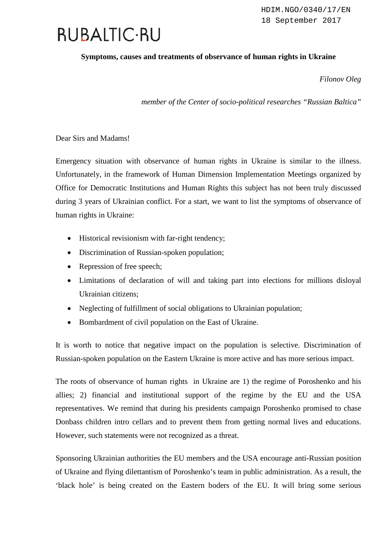## **RUBALTIC-RU**

## **Symptoms, causes and treatments of observance of human rights in Ukraine**

*Filonov Oleg*

*member of the Center of socio-political researches "Russian Baltica"*

Dear Sirs and Madams!

Emergency situation with observance of human rights in Ukraine is similar to the illness. Unfortunately, in the framework of Human Dimension Implementation Meetings organized by Office for Democratic Institutions and Human Rights this subject has not been truly discussed during 3 years of Ukrainian conflict. For a start, we want to list the symptoms of observance of human rights in Ukraine:

- Historical revisionism with far-right tendency;
- Discrimination of Russian-spoken population;
- Repression of free speech;
- Limitations of declaration of will and taking part into elections for millions disloyal Ukrainian citizens;
- Neglecting of fulfillment of social obligations to Ukrainian population;
- Bombardment of civil population on the East of Ukraine.

It is worth to notice that negative impact on the population is selective. Discrimination of Russian-spoken population on the Eastern Ukraine is more active and has more serious impact.

The roots of observance of human rights in Ukraine are 1) the regime of Poroshenko and his allies; 2) financial and institutional support of the regime by the EU and the USA representatives. We remind that during his presidents campaign Poroshenko promised to chase Donbass children intro cellars and to prevent them from getting normal lives and educations. However, such statements were not recognized as a threat.

Sponsoring Ukrainian authorities the EU members and the USA encourage anti-Russian position of Ukraine and flying dilettantism of Poroshenko's team in public administration. As a result, the 'black hole' is being created on the Eastern boders of the EU. It will bring some serious